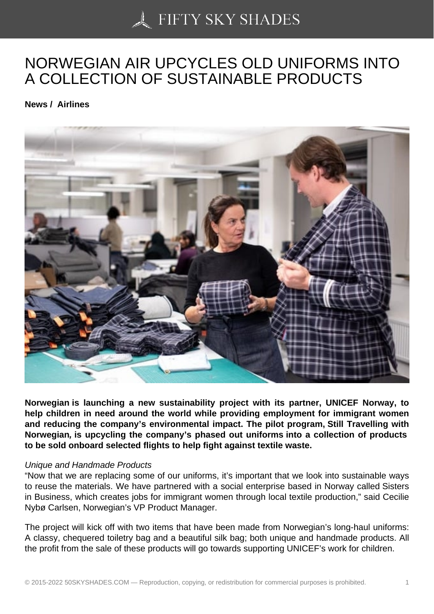## [NORWEGIAN AIR UPC](https://50skyshades.com)YCLES OLD UNIFORMS INTO A COLLECTION OF SUSTAINABLE PRODUCTS

News / Airlines

Norwegian is launching a new sustainability project with its partner, UNICEF Norway, to help children in need around the world while providing employment for immigrant women and reducing the company's environmental impact. The pilot program, Still Travelling with Norwegian , is upcycling the company's phased out uniforms into a collection of products to be sold onboard selected flights to help fight against textile waste.

## Unique and Handmade Products

"Now that we are replacing some of our uniforms, it's important that we look into sustainable ways to reuse the materials. We have partnered with a social enterprise based in Norway called Sisters in Business, which creates jobs for immigrant women through local textile production," said Cecilie Nybø Carlsen, Norwegian's VP Product Manager.

The project will kick off with two items that have been made from Norwegian's long-haul uniforms: A classy, chequered toiletry bag and a beautiful silk bag; both unique and handmade products. All the profit from the sale of these products will go towards supporting UNICEF's work for children.